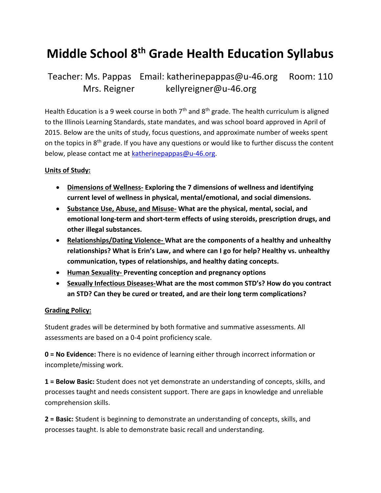# **Middle School 8 th Grade Health Education Syllabus**

# Teacher: Ms. Pappas Email: [katherinepappas@u-46.org](mailto:katherinepappas@u-46.org) Room: 110 Mrs. Reigner [kellyreigner@u-46.org](mailto:kellyreigner@u-46.org)

Health Education is a 9 week course in both  $7<sup>th</sup>$  and  $8<sup>th</sup>$  grade. The health curriculum is aligned to the Illinois Learning Standards, state mandates, and was school board approved in April of 2015. Below are the units of study, focus questions, and approximate number of weeks spent on the topics in 8<sup>th</sup> grade. If you have any questions or would like to further discuss the content below, please contact me at [katherinepappas@u-46.org.](mailto:katherinepappas@u-46.org)

#### **Units of Study:**

- **Dimensions of Wellness- Exploring the 7 dimensions of wellness and identifying current level of wellness in physical, mental/emotional, and social dimensions.**
- **Substance Use, Abuse, and Misuse- What are the physical, mental, social, and emotional long-term and short-term effects of using steroids, prescription drugs, and other illegal substances.**
- **Relationships/Dating Violence- What are the components of a healthy and unhealthy relationships? What is Erin's Law, and where can I go for help? Healthy vs. unhealthy communication, types of relationships, and healthy dating concepts.**
- **Human Sexuality- Preventing conception and pregnancy options**
- **Sexually Infectious Diseases-What are the most common STD's? How do you contract an STD? Can they be cured or treated, and are their long term complications?**

#### **Grading Policy:**

Student grades will be determined by both formative and summative assessments. All assessments are based on a 0-4 point proficiency scale.

**0 = No Evidence:** There is no evidence of learning either through incorrect information or incomplete/missing work.

**1 = Below Basic:** Student does not yet demonstrate an understanding of concepts, skills, and processes taught and needs consistent support. There are gaps in knowledge and unreliable comprehension skills.

**2 = Basic:** Student is beginning to demonstrate an understanding of concepts, skills, and processes taught. Is able to demonstrate basic recall and understanding.